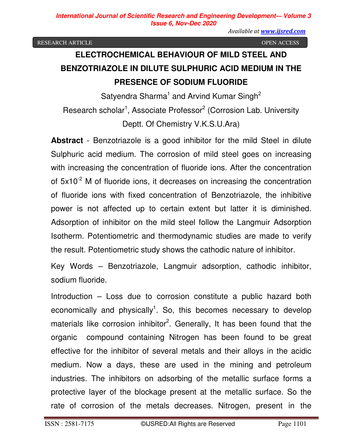RESEARCH ARTICLE OPEN ACCESS

# **ELECTROCHEMICAL BEHAVIOUR OF MILD STEEL AND BENZOTRIAZOLE IN DILUTE SULPHURIC ACID MEDIUM IN THE PRESENCE OF SODIUM FLUORIDE**

Satyendra Sharma<sup>1</sup> and Arvind Kumar Singh<sup>2</sup> Research scholar<sup>1</sup>, Associate Professor<sup>2</sup> (Corrosion Lab. University Deptt. Of Chemistry V.K.S.U.Ara)

**Abstract** - Benzotriazole is a good inhibitor for the mild Steel in dilute Sulphuric acid medium. The corrosion of mild steel goes on increasing with increasing the concentration of fluoride ions. After the concentration of  $5x10^{-2}$  M of fluoride ions, it decreases on increasing the concentration of fluoride ions with fixed concentration of Benzotriazole, the inhibitive power is not affected up to certain extent but latter it is diminished. Adsorption of inhibitor on the mild steel follow the Langmuir Adsorption Isotherm. Potentiometric and thermodynamic studies are made to verify the result. Potentiometric study shows the cathodic nature of inhibitor.

Key Words – Benzotriazole, Langmuir adsorption, cathodic inhibitor, sodium fluoride.

Introduction – Loss due to corrosion constitute a public hazard both economically and physically<sup>1</sup>. So, this becomes necessary to develop materials like corrosion inhibitor<sup>2</sup>. Generally, It has been found that the organic compound containing Nitrogen has been found to be great effective for the inhibitor of several metals and their alloys in the acidic medium. Now a days, these are used in the mining and petroleum industries. The inhibitors on adsorbing of the metallic surface forms a protective layer of the blockage present at the metallic surface. So the rate of corrosion of the metals decreases. Nitrogen, present in the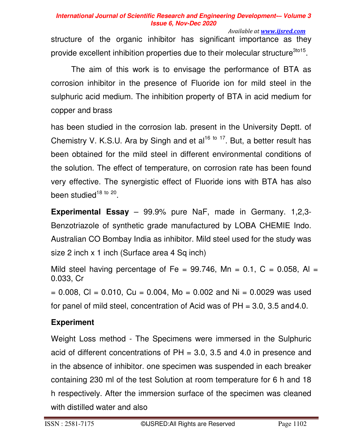*Available at www.ijsred.com*

structure of the organic inhibitor has significant importance as they provide excellent inhibition properties due to their molecular structure<sup>3to15</sup>.

The aim of this work is to envisage the performance of BTA as corrosion inhibitor in the presence of Fluoride ion for mild steel in the sulphuric acid medium. The inhibition property of BTA in acid medium for copper and brass

has been studied in the corrosion lab. present in the University Deptt. of Chemistry V. K.S.U. Ara by Singh and et  $al^{16}$  to  $17$ . But, a better result has been obtained for the mild steel in different environmental conditions of the solution. The effect of temperature, on corrosion rate has been found very effective. The synergistic effect of Fluoride ions with BTA has also been studied<sup>18 to 20</sup>.

**Experimental Essay** – 99.9% pure NaF, made in Germany. 1,2,3- Benzotriazole of synthetic grade manufactured by LOBA CHEMIE Indo. Australian CO Bombay India as inhibitor. Mild steel used for the study was size 2 inch x 1 inch (Surface area 4 Sq inch)

Mild steel having percentage of Fe = 99.746, Mn = 0.1,  $C = 0.058$ , Al = 0.033, Cr

 $= 0.008$ , Cl = 0.010, Cu = 0.004, Mo = 0.002 and Ni = 0.0029 was used for panel of mild steel, concentration of Acid was of PH = 3.0, 3.5 and 4.0.

# **Experiment**

Weight Loss method - The Specimens were immersed in the Sulphuric acid of different concentrations of PH = 3.0, 3.5 and 4.0 in presence and in the absence of inhibitor. one specimen was suspended in each breaker containing 230 ml of the test Solution at room temperature for 6 h and 18 h respectively. After the immersion surface of the specimen was cleaned with distilled water and also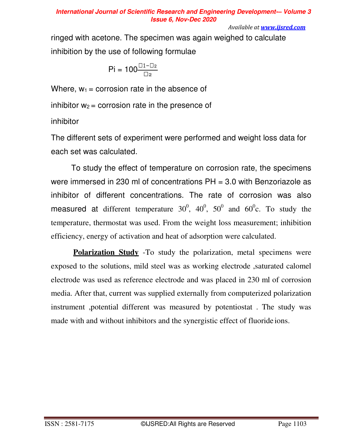*Available at www.ijsred.com*

ringed with acetone. The specimen was again weighed to calculate inhibition by the use of following formulae

$$
Pi = 100^{\frac{\square 1 - \square 2}{\square 2}}
$$

Where,  $w_1$  = corrosion rate in the absence of

inhibitor  $w_2$  = corrosion rate in the presence of

inhibitor

The different sets of experiment were performed and weight loss data for each set was calculated.

To study the effect of temperature on corrosion rate, the specimens were immersed in 230 ml of concentrations PH = 3.0 with Benzoriazole as inhibitor of different concentrations. The rate of corrosion was also measured at different temperature  $30^0$ ,  $40^0$ ,  $50^0$  and  $60^0$ c. To study the temperature, thermostat was used. From the weight loss measurement; inhibition efficiency, energy of activation and heat of adsorption were calculated.

**Polarization Study** -To study the polarization, metal specimens were exposed to the solutions, mild steel was as working electrode ,saturated calomel electrode was used as reference electrode and was placed in 230 ml of corrosion media. After that, current was supplied externally from computerized polarization instrument ,potential different was measured by potentiostat . The study was made with and without inhibitors and the synergistic effect of fluoride ions.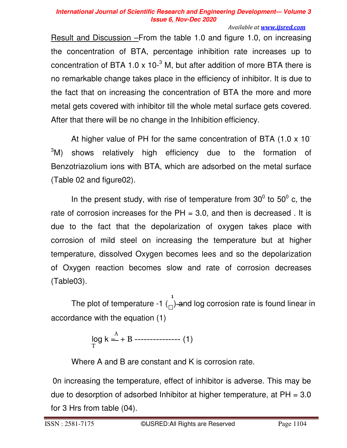*Available at www.ijsred.com*

Result and Discussion –From the table 1.0 and figure 1.0, on increasing the concentration of BTA, percentage inhibition rate increases up to concentration of BTA 1.0  $\times$  10-<sup>3</sup> M, but after addition of more BTA there is no remarkable change takes place in the efficiency of inhibitor. It is due to the fact that on increasing the concentration of BTA the more and more metal gets covered with inhibitor till the whole metal surface gets covered. After that there will be no change in the Inhibition efficiency.

At higher value of PH for the same concentration of BTA (1.0 x 10- <sup>3</sup>M) shows relatively high efficiency due to the formation of Benzotriazolium ions with BTA, which are adsorbed on the metal surface (Table 02 and figure02).

In the present study, with rise of temperature from  $30^0$  to  $50^0$  c, the rate of corrosion increases for the  $PH = 3.0$ , and then is decreased. It is due to the fact that the depolarization of oxygen takes place with corrosion of mild steel on increasing the temperature but at higher temperature, dissolved Oxygen becomes lees and so the depolarization of Oxygen reaction becomes slow and rate of corrosion decreases (Table03).

 $\overline{1}$ The plot of temperature -1  $\mathcal{L}_{\Box}$ )-and log corrosion rate is found linear in accordance with the equation (1)

$$
\log k = + B
$$
-----(1)

Where A and B are constant and K is corrosion rate.

0n increasing the temperature, effect of inhibitor is adverse. This may be due to desorption of adsorbed Inhibitor at higher temperature, at  $PH = 3.0$ for 3 Hrs from table (04).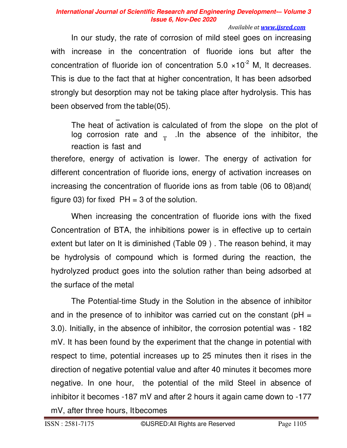*Available at www.ijsred.com*

In our study, the rate of corrosion of mild steel goes on increasing with increase in the concentration of fluoride ions but after the concentration of fluoride ion of concentration  $5.0 \times 10^{-2}$  M, It decreases. This is due to the fact that at higher concentration, It has been adsorbed strongly but desorption may not be taking place after hydrolysis. This has been observed from the table(05).

The heat of activation is calculated of from the slope on the plot of log corrosion rate and  $T$  .In the absence of the inhibitor, the reaction is fast and

therefore, energy of activation is lower. The energy of activation for different concentration of fluoride ions, energy of activation increases on increasing the concentration of fluoride ions as from table (06 to 08)and( figure 03) for fixed  $PH = 3$  of the solution.

When increasing the concentration of fluoride ions with the fixed Concentration of BTA, the inhibitions power is in effective up to certain extent but later on It is diminished (Table 09 ) . The reason behind, it may be hydrolysis of compound which is formed during the reaction, the hydrolyzed product goes into the solution rather than being adsorbed at the surface of the metal

The Potential-time Study in the Solution in the absence of inhibitor and in the presence of to inhibitor was carried cut on the constant ( $pH =$ 3.0). Initially, in the absence of inhibitor, the corrosion potential was - 182 mV. It has been found by the experiment that the change in potential with respect to time, potential increases up to 25 minutes then it rises in the direction of negative potential value and after 40 minutes it becomes more negative. In one hour, the potential of the mild Steel in absence of inhibitor it becomes -187 mV and after 2 hours it again came down to -177

mV, after three hours, It becomes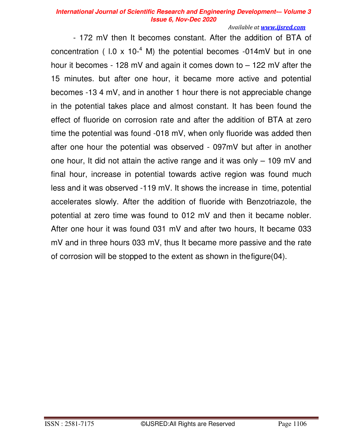*Available at www.ijsred.com*

- 172 mV then It becomes constant. After the addition of BTA of concentration (  $1.0 \times 10^{-4}$  M) the potential becomes -014mV but in one hour it becomes - 128 mV and again it comes down to – 122 mV after the 15 minutes. but after one hour, it became more active and potential becomes -13 4 mV, and in another 1 hour there is not appreciable change in the potential takes place and almost constant. It has been found the effect of fluoride on corrosion rate and after the addition of BTA at zero time the potential was found -018 mV, when only fluoride was added then after one hour the potential was observed - 097mV but after in another one hour, It did not attain the active range and it was only – 109 mV and final hour, increase in potential towards active region was found much less and it was observed -119 mV. It shows the increase in time, potential accelerates slowly. After the addition of fluoride with Benzotriazole, the potential at zero time was found to 012 mV and then it became nobler. After one hour it was found 031 mV and after two hours, It became 033 mV and in three hours 033 mV, thus It became more passive and the rate of corrosion will be stopped to the extent as shown in the figure(04).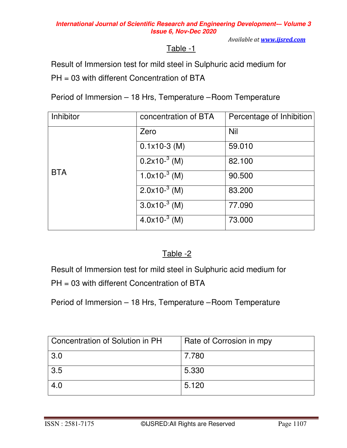*Available at www.ijsred.com*

### Table -1

Result of Immersion test for mild steel in Sulphuric acid medium for

PH = 03 with different Concentration of BTA

Period of Immersion – 18 Hrs, Temperature – Room Temperature

| Inhibitor  | concentration of BTA | Percentage of Inhibition |
|------------|----------------------|--------------------------|
|            | Zero                 | <b>Nil</b>               |
|            | $0.1x10-3$ (M)       | 59.010                   |
|            | $0.2x10^{-3}$ (M)    | 82.100                   |
| <b>BTA</b> | $1.0x10^{-3}$ (M)    | 90.500                   |
|            | $2.0x10^{-3}$ (M)    | 83.200                   |
|            | $3.0x10^{-3}$ (M)    | 77.090                   |
|            | $4.0x10^{-3}$ (M)    | 73.000                   |

# Table -2

Result of Immersion test for mild steel in Sulphuric acid medium for

PH = 03 with different Concentration of BTA

Period of Immersion – 18 Hrs, Temperature – Room Temperature

| Concentration of Solution in PH | Rate of Corrosion in mpy |
|---------------------------------|--------------------------|
| 3.0                             | 7.780                    |
| 3.5                             | 5.330                    |
| 4.0                             | 5.120                    |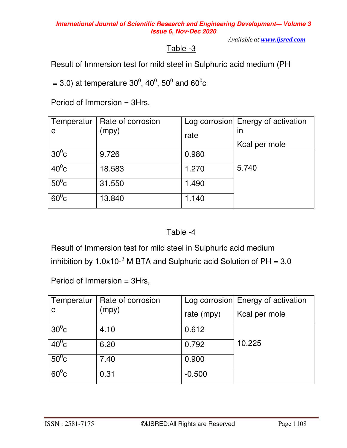*Available at www.ijsred.com*

### Table -3

Result of Immersion test for mild steel in Sulphuric acid medium (PH

= 3.0) at temperature 30 $^{\rm 0}$ , 40 $^{\rm 0}$ , 50 $^{\rm 0}$  and 60 $^{\rm 0}$ c

Period of Immersion = 3Hrs,

| Temperatur     | Rate of corrosion |       | Log corrosion Energy of activation |
|----------------|-------------------|-------|------------------------------------|
| e              | (mpy)             | rate  | in                                 |
|                |                   |       | Kcal per mole                      |
| $30^0$ c       | 9.726             | 0.980 |                                    |
| $40^0$ c       | 18.583            | 1.270 | 5.740                              |
| $50^0$ c       | 31.550            | 1.490 |                                    |
| $60^{\circ}$ c | 13.840            | 1.140 |                                    |

### Table -4

Result of Immersion test for mild steel in Sulphuric acid medium inhibition by 1.0x10<sup>-3</sup> M BTA and Sulphuric acid Solution of PH = 3.0

Period of Immersion = 3Hrs,

| Temperatur     | Rate of corrosion |            | Log corrosion Energy of activation |
|----------------|-------------------|------------|------------------------------------|
| e              | (mpy)             | rate (mpy) | Kcal per mole                      |
| $30^0$ c       | 4.10              | 0.612      |                                    |
| $40^{\circ}$ c | 6.20              | 0.792      | 10.225                             |
| $50^0$ c       | 7.40              | 0.900      |                                    |
| $60^{\circ}$ c | 0.31              | $-0.500$   |                                    |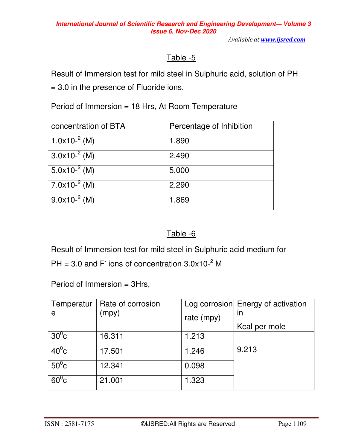# Table -5

Result of Immersion test for mild steel in Sulphuric acid, solution of PH = 3.0 in the presence of Fluoride ions.

Period of Immersion = 18 Hrs, At Room Temperature

| concentration of BTA | Percentage of Inhibition |
|----------------------|--------------------------|
| $1.0x10^{-2}$ (M)    | 1.890                    |
| $3.0x10^{-2}$ (M)    | 2.490                    |
| $5.0x10^{-2}$ (M)    | 5.000                    |
| $7.0x10^{-2}$ (M)    | 2.290                    |
| $9.0x10^{-2}$ (M)    | 1.869                    |

### Table -6

Result of Immersion test for mild steel in Sulphuric acid medium for

PH = 3.0 and F<sup>-</sup> ions of concentration  $3.0 \times 10^{-2}$  M

Period of Immersion = 3Hrs,

| Temperatur     | Rate of corrosion |            | Log corrosion Energy of activation |
|----------------|-------------------|------------|------------------------------------|
| e              | (mpy)             | rate (mpy) | in                                 |
|                |                   |            | Kcal per mole                      |
| $30^0$ c       | 16.311            | 1.213      |                                    |
| $40^{\circ}$ c | 17.501            | 1.246      | 9.213                              |
| $50^{\circ}$ c | 12.341            | 0.098      |                                    |
| $60^{\circ}$ c | 21.001            | 1.323      |                                    |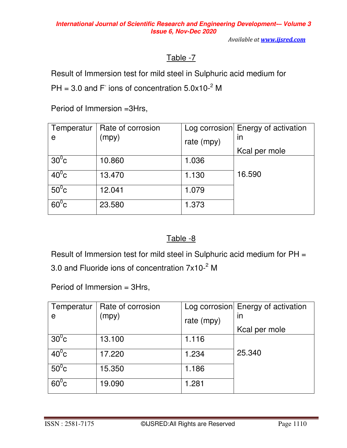# Table -7

Result of Immersion test for mild steel in Sulphuric acid medium for

PH = 3.0 and F<sup>-</sup> ions of concentration  $5.0 \times 10^{-2}$  M

Period of Immersion =3Hrs,

| Temperatur     | Rate of corrosion |            | Log corrosion Energy of activation |
|----------------|-------------------|------------|------------------------------------|
| e              | (mpy)             | rate (mpy) | in                                 |
|                |                   |            | Kcal per mole                      |
| $30^0$ c       | 10.860            | 1.036      |                                    |
| $40^{\circ}$ c | 13.470            | 1.130      | 16.590                             |
|                |                   |            |                                    |
| $50^0$ c       | 12.041            | 1.079      |                                    |
| $60^{\circ}$ c | 23.580            | 1.373      |                                    |
|                |                   |            |                                    |

### Table -8

Result of Immersion test for mild steel in Sulphuric acid medium for PH = 3.0 and Fluoride ions of concentration  $7x10^{-2}$  M

Period of Immersion = 3Hrs,

| Temperatur     | Rate of corrosion |            | Log corrosion Energy of activation |
|----------------|-------------------|------------|------------------------------------|
| e              | (mpy)             | rate (mpy) | in                                 |
|                |                   |            | Kcal per mole                      |
| $30^0$ c       | 13.100            | 1.116      |                                    |
| $40^{\circ}$ c | 17.220            | 1.234      | 25.340                             |
| $50^0$ c       | 15.350            | 1.186      |                                    |
| $60^{\circ}$ c | 19.090            | 1.281      |                                    |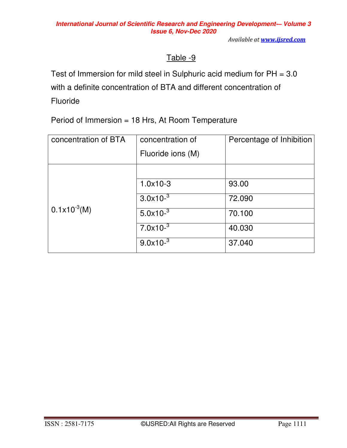# Table -9

Test of Immersion for mild steel in Sulphuric acid medium for PH = 3.0 with a definite concentration of BTA and different concentration of Fluoride

Period of Immersion = 18 Hrs, At Room Temperature

| concentration of BTA | concentration of        | Percentage of Inhibition |
|----------------------|-------------------------|--------------------------|
|                      | Fluoride ions (M)       |                          |
|                      |                         |                          |
| $0.1x10^{-3}$ (M)    | $1.0x10-3$              | 93.00                    |
|                      | $3.0x10^{-3}$           | 72.090                   |
|                      | $5.0x10^{-3}$           | 70.100                   |
|                      | 7.0x10 $-$ <sup>3</sup> | 40.030                   |
|                      | $9.0x10^{-3}$           | 37.040                   |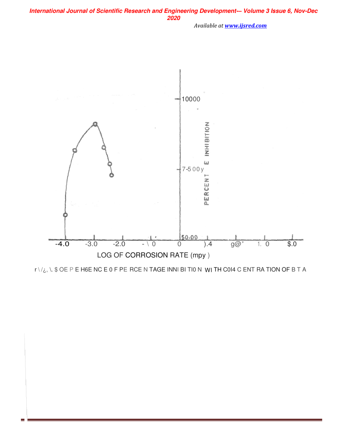

r \/¿, \. \$ OE P E H6E NC E 0 F PE RCE N TAGE INNI BI TI0 N WI TH C0I4 C ENT RA TION OF B T A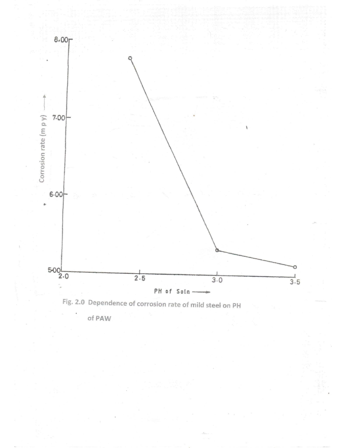



of PAW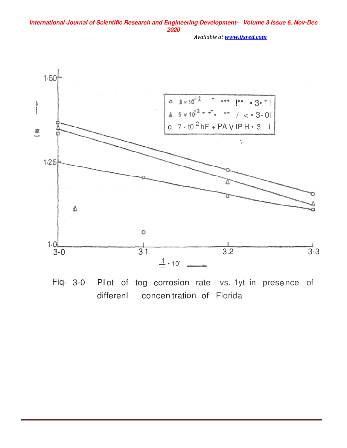



Plot of tog corrosion rate vs. 1yt in presence of concentration of Florida differenl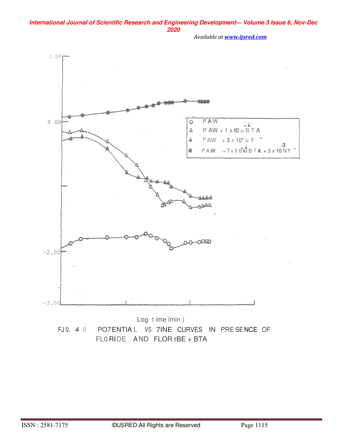

Available at **www.ijsred.com** 

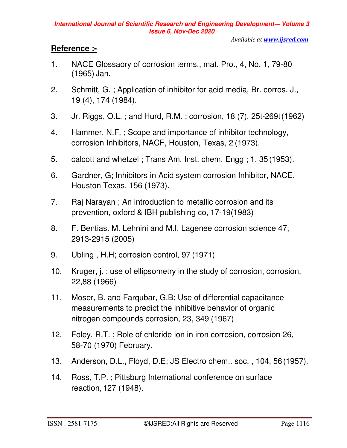*Available at www.ijsred.com*

### **Reference :-**

- 1. NACE Glossaory of corrosion terms., mat. Pro., 4, No. 1, 79-80 (1965) Jan.
- 2. Schmitt, G. ; Application of inhibitor for acid media, Br. corros. J., 19 (4), 174 (1984).
- 3. Jr. Riggs, O.L. ; and Hurd, R.M. ; corrosion, 18 (7), 25t-269t (1962)
- 4. Hammer, N.F. ; Scope and importance of inhibitor technology, corrosion Inhibitors, NACF, Houston, Texas, 2 (1973).
- 5. calcott and whetzel ; Trans Am. Inst. chem. Engg ; 1, 35 (1953).
- 6. Gardner, G; Inhibitors in Acid system corrosion Inhibitor, NACE, Houston Texas, 156 (1973).
- 7. Raj Narayan ; An introduction to metallic corrosion and its prevention, oxford & IBH publishing co, 17-19(1983)
- 8. F. Bentias. M. Lehnini and M.I. Lagenee corrosion science 47, 2913-2915 (2005)
- 9. Ubling , H.H; corrosion control, 97 (1971)
- 10. Kruger, j. ; use of ellipsometry in the study of corrosion, corrosion, 22,88 (1966)
- 11. Moser, B. and Farqubar, G.B; Use of differential capacitance measurements to predict the inhibitive behavior of organic nitrogen compounds corrosion, 23, 349 (1967)
- 12. Foley, R.T. ; Role of chloride ion in iron corrosion, corrosion 26, 58-70 (1970) February.
- 13. Anderson, D.L., Floyd, D.E; JS Electro chem.. soc. , 104, 56 (1957).
- 14. Ross, T.P. ; Pittsburg International conference on surface reaction, 127 (1948).